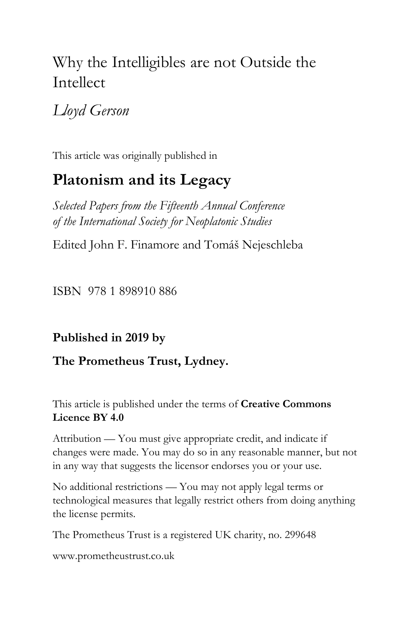# Why the Intelligibles are not Outside the Intellect

# *Lloyd Gerson*

This article was originally published in

# **Platonism and its Legacy**

*Selected Papers from the Fifteenth Annual Conference of the International Society for Neoplatonic Studies*

Edited John F. Finamore and Tomáš Nejeschleba

ISBN 978 1 898910 886

## **Published in 2019 by**

## **The Prometheus Trust, Lydney.**

### This article is published under the terms of **Creative Commons Licence BY 4.0**

Attribution — You must give appropriate credit, and indicate if changes were made. You may do so in any reasonable manner, but not in any way that suggests the licensor endorses you or your use.

No additional restrictions — You may not apply legal terms or technological measures that legally restrict others from doing anything the license permits.

The Prometheus Trust is a registered UK charity, no. 299648

[www.prometheustrust.co.uk](http://www.prometheustrust.co.uk/)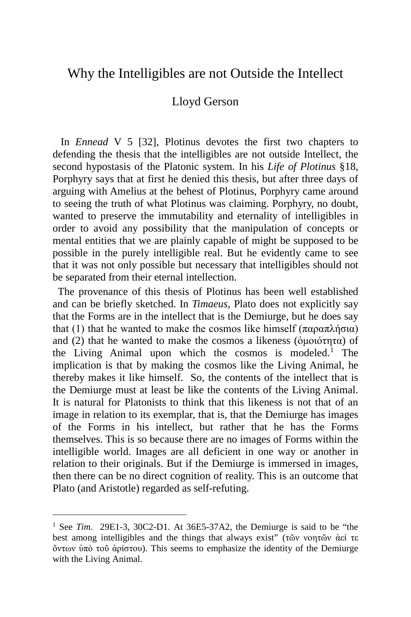### Why the Intelligibles are not Outside the Intellect

#### Lloyd Gerson

 In *Ennead* V 5 [32], Plotinus devotes the first two chapters to defending the thesis that the intelligibles are not outside Intellect, the second hypostasis of the Platonic system. In his *Life of Plotinus* §18, Porphyry says that at first he denied this thesis, but after three days of arguing with Amelius at the behest of Plotinus, Porphyry came around to seeing the truth of what Plotinus was claiming. Porphyry, no doubt, wanted to preserve the immutability and eternality of intelligibles in order to avoid any possibility that the manipulation of concepts or mental entities that we are plainly capable of might be supposed to be possible in the purely intelligible real. But he evidently came to see that it was not only possible but necessary that intelligibles should not be separated from their eternal intellection.

 The provenance of this thesis of Plotinus has been well established and can be briefly sketched. In *Timaeus*, Plato does not explicitly say that the Forms are in the intellect that is the Demiurge, but he does say that (1) that he wanted to make the cosmos like himself (παραπλήσια) and (2) that he wanted to make the cosmos a likeness ( $\phi$ μοιότητα) of the Living Animal upon which the cosmos is modeled.<sup>[1](#page-1-0)</sup> The implication is that by making the cosmos like the Living Animal, he thereby makes it like himself. So, the contents of the intellect that is the Demiurge must at least be like the contents of the Living Animal. It is natural for Platonists to think that this likeness is not that of an image in relation to its exemplar, that is, that the Demiurge has images of the Forms in his intellect, but rather that he has the Forms themselves. This is so because there are no images of Forms within the intelligible world. Images are all deficient in one way or another in relation to their originals. But if the Demiurge is immersed in images, then there can be no direct cognition of reality. This is an outcome that Plato (and Aristotle) regarded as self-refuting.

<span id="page-1-0"></span><sup>&</sup>lt;sup>1</sup> See *Tim.* 29E1-3, 30C2-D1. At 36E5-37A2, the Demiurge is said to be "the best among intelligibles and the things that always exist" (τῶν νοητῶν ἀεί τε ὄντων ὑπὸ τοῦ ἀρίστου). This seems to emphasize the identity of the Demiurge with the Living Animal.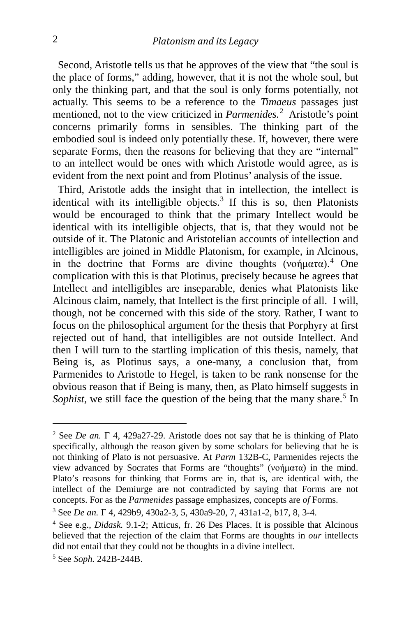Second, Aristotle tells us that he approves of the view that "the soul is the place of forms," adding, however, that it is not the whole soul, but only the thinking part, and that the soul is only forms potentially, not actually. This seems to be a reference to the *Timaeus* passages just mentioned, not to the view criticized in *Parmenides.*[2](#page-2-0) Aristotle's point concerns primarily forms in sensibles. The thinking part of the embodied soul is indeed only potentially these. If, however, there were separate Forms, then the reasons for believing that they are "internal" to an intellect would be ones with which Aristotle would agree, as is evident from the next point and from Plotinus' analysis of the issue.

 Third, Aristotle adds the insight that in intellection, the intellect is identical with its intelligible objects.<sup>[3](#page-2-1)</sup> If this is so, then Platonists would be encouraged to think that the primary Intellect would be identical with its intelligible objects, that is, that they would not be outside of it. The Platonic and Aristotelian accounts of intellection and intelligibles are joined in Middle Platonism, for example, in Alcinous, in the doctrine that Forms are divine thoughts (νοήματα).<sup>[4](#page-2-2)</sup> One complication with this is that Plotinus, precisely because he agrees that Intellect and intelligibles are inseparable, denies what Platonists like Alcinous claim, namely, that Intellect is the first principle of all. I will, though, not be concerned with this side of the story. Rather, I want to focus on the philosophical argument for the thesis that Porphyry at first rejected out of hand, that intelligibles are not outside Intellect. And then I will turn to the startling implication of this thesis, namely, that Being is, as Plotinus says, a one-many, a conclusion that, from Parmenides to Aristotle to Hegel, is taken to be rank nonsense for the obvious reason that if Being is many, then, as Plato himself suggests in *Sophist*, we still face the question of the being that the many share.<sup>[5](#page-2-3)</sup> In

<span id="page-2-0"></span><sup>&</sup>lt;sup>2</sup> See *De an*.  $\Gamma$  4, 429a27-29. Aristotle does not say that he is thinking of Plato specifically, although the reason given by some scholars for believing that he is not thinking of Plato is not persuasive. At *Parm* 132B-C, Parmenides rejects the view advanced by Socrates that Forms are "thoughts" (νοήματα) in the mind. Plato's reasons for thinking that Forms are in, that is, are identical with, the intellect of the Demiurge are not contradicted by saying that Forms are not concepts. For as the *Parmenides* passage emphasizes, concepts are *of* Forms.

<span id="page-2-1"></span><sup>3</sup> See *De an.* Γ 4, 429b9, 430a2-3, 5, 430a9-20, 7, 431a1-2, b17, 8, 3-4.

<span id="page-2-2"></span><sup>4</sup> See e.g., *Didask.* 9.1-2; Atticus, fr. 26 Des Places. It is possible that Alcinous believed that the rejection of the claim that Forms are thoughts in *our* intellects did not entail that they could not be thoughts in a divine intellect. 5 See *Soph.* 242B-244B.

<span id="page-2-3"></span>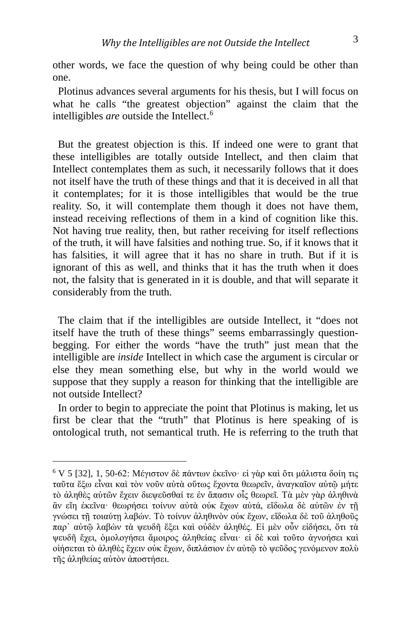other words, we face the question of why being could be other than one.

 Plotinus advances several arguments for his thesis, but I will focus on what he calls "the greatest objection" against the claim that the intelligibles *are* outside the Intellect.[6](#page-3-0)

 But the greatest objection is this. If indeed one were to grant that these intelligibles are totally outside Intellect, and then claim that Intellect contemplates them as such, it necessarily follows that it does not itself have the truth of these things and that it is deceived in all that it contemplates; for it is those intelligibles that would be the true reality. So, it will contemplate them though it does not have them, instead receiving reflections of them in a kind of cognition like this. Not having true reality, then, but rather receiving for itself reflections of the truth, it will have falsities and nothing true. So, if it knows that it has falsities, it will agree that it has no share in truth. But if it is ignorant of this as well, and thinks that it has the truth when it does not, the falsity that is generated in it is double, and that will separate it considerably from the truth.

 The claim that if the intelligibles are outside Intellect, it "does not itself have the truth of these things" seems embarrassingly questionbegging. For either the words "have the truth" just mean that the intelligible are *inside* Intellect in which case the argument is circular or else they mean something else, but why in the world would we suppose that they supply a reason for thinking that the intelligible are not outside Intellect?

 In order to begin to appreciate the point that Plotinus is making, let us first be clear that the "truth" that Plotinus is here speaking of is ontological truth, not semantical truth. He is referring to the truth that

<span id="page-3-0"></span><sup>6</sup> V 5 [32], 1, 50-62: Μέγιστον δὲ πάντων ἐκεῖνο· εἰ γὰρ καὶ ὅτι μάλιστα δοίη τις ταῦτα ἔξω εἶναι καὶ τὸν νοῦν αὐτὰ οὕτως ἔχοντα θεωρεῖν, ἀναγκαῖον αὐτῷ μήτε τὸ ἀληθὲς αὐτῶν ἔχειν διεψεῦσθαί τε ἐν ἅπασιν οἷς θεωρεῖ. Τὰ μὲν γὰρ ἀληθινὰ ἂν εἴη ἐκεῖνα· θεωρήσει τοίνυν αὐτὰ οὐκ ἔχων αὐτά, εἴδωλα δὲ αὐτῶν ἐν τῇ γνώσει τῇ τοιαύτῃ λαβών. Τὸ τοίνυν ἀληθινὸν οὐκ ἔχων, εἴδωλα δὲ τοῦ ἀληθοῦς παρ᾽ αὐτῷ λαβὼν τὰ ψευδῆ ἕξει καὶ οὐδὲν ἀληθές. Εἰ μὲν οὖν εἰδήσει, ὅτι τὰ ψευδῆ ἔχει, ὁμολογήσει ἄμοιρος ἀληθείας εἶναι· εἰ δὲ καὶ τοῦτο ἀγνοήσει καὶ οἰήσεται τὸ ἀληθὲς ἔχειν οὐκ ἔχων, διπλάσιον ἐν αὐτῷ τὸ ψεῦδος γενόμενον πολὺ τῆς ἀληθείας αὐτὸν ἀποστήσει.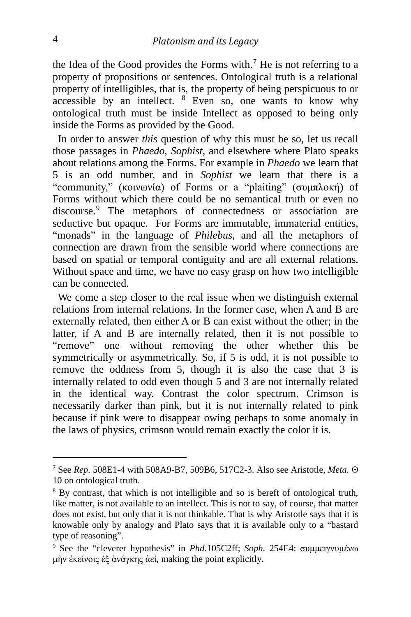the Idea of the Good provides the Forms with.<sup>[7](#page-4-0)</sup> He is not referring to a property of propositions or sentences. Ontological truth is a relational property of intelligibles, that is, the property of being perspicuous to or accessible by an intellect.  $8$  Even so, one wants to know why ontological truth must be inside Intellect as opposed to being only inside the Forms as provided by the Good.

 In order to answer *this* question of why this must be so, let us recall those passages in *Phaedo*, *Sophist*, and elsewhere where Plato speaks about relations among the Forms. For example in *Phaedo* we learn that 5 is an odd number, and in *Sophist* we learn that there is a "community," (κοινωνία) of Forms or a "plaiting" (συμπλοκή) of Forms without which there could be no semantical truth or even no discourse.[9](#page-4-2) The metaphors of connectedness or association are seductive but opaque. For Forms are immutable, immaterial entities, "monads" in the language of *Philebus,* and all the metaphors of connection are drawn from the sensible world where connections are based on spatial or temporal contiguity and are all external relations. Without space and time, we have no easy grasp on how two intelligible can be connected.

 We come a step closer to the real issue when we distinguish external relations from internal relations. In the former case, when A and B are externally related, then either A or B can exist without the other; in the latter, if A and B are internally related, then it is not possible to "remove" one without removing the other whether this be symmetrically or asymmetrically. So, if 5 is odd, it is not possible to remove the oddness from 5, though it is also the case that 3 is internally related to odd even though 5 and 3 are not internally related in the identical way. Contrast the color spectrum. Crimson is necessarily darker than pink, but it is not internally related to pink because if pink were to disappear owing perhaps to some anomaly in the laws of physics, crimson would remain exactly the color it is.

<span id="page-4-0"></span><sup>7</sup> See *Rep.* 508E1-4 with 508A9-B7, 509B6, 517C2-3. Also see Aristotle, *Meta.* <sup>Θ</sup> 10 on ontological truth.

<span id="page-4-1"></span><sup>8</sup> By contrast, that which is not intelligible and so is bereft of ontological truth, like matter, is not available to an intellect. This is not to say, of course, that matter does not exist, but only that it is not thinkable. That is why Aristotle says that it is knowable only by analogy and Plato says that it is available only to a "bastard type of reasoning".

<span id="page-4-2"></span><sup>9</sup> See the "cleverer hypothesis" in *Phd.*105C2ff; *Soph.* 254E4: συμμειγνυμένω μὴν ἐκείνοις ὲξ ὰνάγκης ἀεί, making the point explicitly.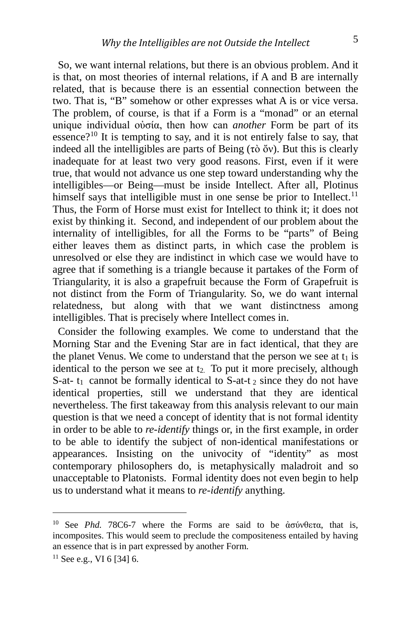So, we want internal relations, but there is an obvious problem. And it is that, on most theories of internal relations, if A and B are internally related, that is because there is an essential connection between the two. That is, "B" somehow or other expresses what A is or vice versa. The problem, of course, is that if a Form is a "monad" or an eternal unique individual οὐσία, then how can *another* Form be part of its essence?<sup>[10](#page-5-0)</sup> It is tempting to say, and it is not entirely false to say, that indeed all the intelligibles are parts of Being (τὸ ὄν). But this is clearly inadequate for at least two very good reasons. First, even if it were true, that would not advance us one step toward understanding why the intelligibles—or Being—must be inside Intellect. After all, Plotinus himself says that intelligible must in one sense be prior to Intellect.<sup>[11](#page-5-1)</sup> Thus, the Form of Horse must exist for Intellect to think it; it does not exist by thinking it. Second, and independent of our problem about the internality of intelligibles, for all the Forms to be "parts" of Being either leaves them as distinct parts, in which case the problem is unresolved or else they are indistinct in which case we would have to agree that if something is a triangle because it partakes of the Form of Triangularity, it is also a grapefruit because the Form of Grapefruit is not distinct from the Form of Triangularity. So, we do want internal relatedness, but along with that we want distinctness among intelligibles. That is precisely where Intellect comes in.

 Consider the following examples. We come to understand that the Morning Star and the Evening Star are in fact identical, that they are the planet Venus. We come to understand that the person we see at  $t_1$  is identical to the person we see at  $t_2$ . To put it more precisely, although S-at-  $t_1$  cannot be formally identical to S-at- $t_2$  since they do not have identical properties, still we understand that they are identical nevertheless. The first takeaway from this analysis relevant to our main question is that we need a concept of identity that is not formal identity in order to be able to *re-identify* things or, in the first example, in order to be able to identify the subject of non-identical manifestations or appearances. Insisting on the univocity of "identity" as most contemporary philosophers do, is metaphysically maladroit and so unacceptable to Platonists. Formal identity does not even begin to help us to understand what it means to *re-identify* anything.

<span id="page-5-0"></span><sup>10</sup> See *Phd.* 78C6-7 where the Forms are said to be ἀσύνθετα, that is, incomposites. This would seem to preclude the compositeness entailed by having an essence that is in part expressed by another Form.

<span id="page-5-1"></span> $11$  See e.g., VI 6 [34] 6.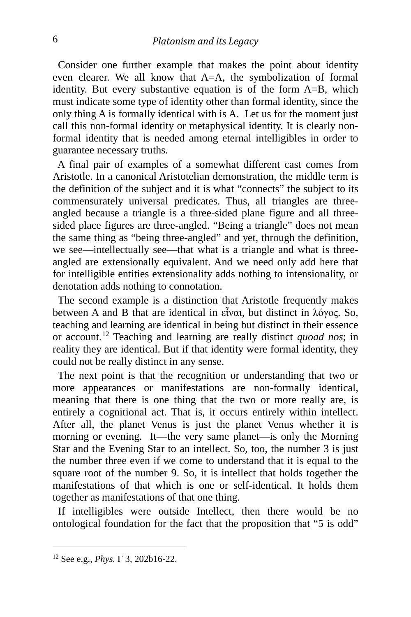Consider one further example that makes the point about identity even clearer. We all know that A=A, the symbolization of formal identity. But every substantive equation is of the form A=B, which must indicate some type of identity other than formal identity, since the only thing A is formally identical with is A. Let us for the moment just call this non-formal identity or metaphysical identity. It is clearly nonformal identity that is needed among eternal intelligibles in order to guarantee necessary truths.

 A final pair of examples of a somewhat different cast comes from Aristotle. In a canonical Aristotelian demonstration, the middle term is the definition of the subject and it is what "connects" the subject to its commensurately universal predicates. Thus, all triangles are threeangled because a triangle is a three-sided plane figure and all threesided place figures are three-angled. "Being a triangle" does not mean the same thing as "being three-angled" and yet, through the definition, we see—intellectually see—that what is a triangle and what is threeangled are extensionally equivalent. And we need only add here that for intelligible entities extensionality adds nothing to intensionality, or denotation adds nothing to connotation.

 The second example is a distinction that Aristotle frequently makes between A and B that are identical in εἶναι, but distinct in λόγος. So, teaching and learning are identical in being but distinct in their essence or account.[12](#page-6-0) Teaching and learning are really distinct *quoad nos*; in reality they are identical. But if that identity were formal identity, they could not be really distinct in any sense.

 The next point is that the recognition or understanding that two or more appearances or manifestations are non-formally identical, meaning that there is one thing that the two or more really are, is entirely a cognitional act. That is, it occurs entirely within intellect. After all, the planet Venus is just the planet Venus whether it is morning or evening. It—the very same planet—is only the Morning Star and the Evening Star to an intellect. So, too, the number 3 is just the number three even if we come to understand that it is equal to the square root of the number 9. So, it is intellect that holds together the manifestations of that which is one or self-identical. It holds them together as manifestations of that one thing.

 If intelligibles were outside Intellect, then there would be no ontological foundation for the fact that the proposition that "5 is odd"

<span id="page-6-0"></span><sup>12</sup> See e.g., *Phys.* <sup>Γ</sup> 3, 202b16-22.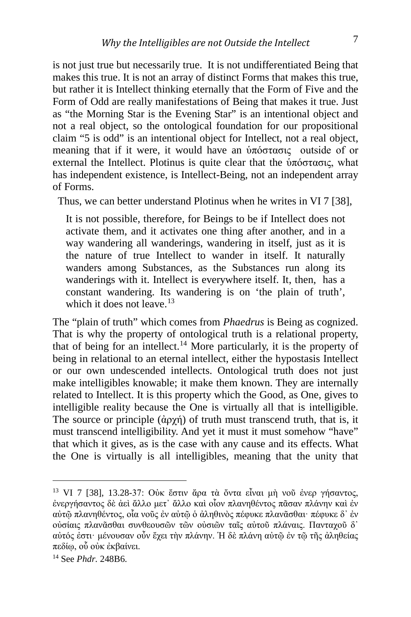is not just true but necessarily true. It is not undifferentiated Being that makes this true. It is not an array of distinct Forms that makes this true, but rather it is Intellect thinking eternally that the Form of Five and the Form of Odd are really manifestations of Being that makes it true. Just as "the Morning Star is the Evening Star" is an intentional object and not a real object, so the ontological foundation for our propositional claim "5 is odd" is an intentional object for Intellect, not a real object, meaning that if it were, it would have an ὑπόστασις outside of or external the Intellect. Plotinus is quite clear that the ὑπόστασις, what has independent existence, is Intellect-Being, not an independent array of Forms.

Thus, we can better understand Plotinus when he writes in VI 7 [38],

It is not possible, therefore, for Beings to be if Intellect does not activate them, and it activates one thing after another, and in a way wandering all wanderings, wandering in itself, just as it is the nature of true Intellect to wander in itself. It naturally wanders among Substances, as the Substances run along its wanderings with it. Intellect is everywhere itself. It, then, has a constant wandering. Its wandering is on 'the plain of truth', which it does not leave.<sup>[13](#page-7-0)</sup>

The "plain of truth" which comes from *Phaedrus* is Being as cognized. That is why the property of ontological truth is a relational property, that of being for an intellect.<sup>[14](#page-7-1)</sup> More particularly, it is the property of being in relational to an eternal intellect, either the hypostasis Intellect or our own undescended intellects. Ontological truth does not just make intelligibles knowable; it make them known. They are internally related to Intellect. It is this property which the Good, as One, gives to intelligible reality because the One is virtually all that is intelligible. The source or principle  $(\dot{\alpha} \rho \gamma \dot{\eta})$  of truth must transcend truth, that is, it must transcend intelligibility. And yet it must it must somehow "have" that which it gives, as is the case with any cause and its effects. What the One is virtually is all intelligibles, meaning that the unity that

i,

<span id="page-7-0"></span><sup>13</sup> VI 7 [38], 13.28-37: Οὐκ ἔστιν ἄρα τὰ ὄντα εἶναι μὴ νοῦ ἐνερ γήσαντος, ἐνεργήσαντος δὲ ἀεὶ ἄλλο μετ᾽ ἄλλο καὶ οἷον πλανηθέντος πᾶσαν πλάνην καὶ ἐν αὐτῷ πλανηθέντος, οἷα νοῦς ἐν αὐτῷ ὁ ἀληθινὸς πέφυκε πλανᾶσθαι· πέφυκε δ᾽ ἐν οὐσίαις πλανᾶσθαι συνθεουσῶν τῶν οὐσιῶν ταῖς αὐτοῦ πλάναις. Πανταχοῦ δ᾽ αὐτός ἐστι· μένουσαν οὖν ἔχει τὴν πλάνην. Ἡ δὲ πλάνη αὐτῷ ἐν τῷ τῆς ἀληθείας πεδίῳ, οὗ οὐκ ἐκβαίνει.

<span id="page-7-1"></span><sup>14</sup> See *Phdr.* 248B6.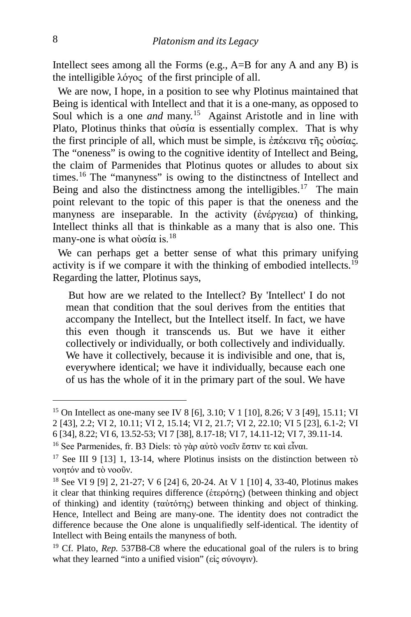Intellect sees among all the Forms (e.g.,  $A=B$  for any A and any B) is the intelligible λόγος of the first principle of all.

We are now, I hope, in a position to see why Plotinus maintained that Being is identical with Intellect and that it is a one-many, as opposed to Soul which is a one *and* many.<sup>15</sup> Against Aristotle and in line with Plato, Plotinus thinks that οὐσία is essentially complex. That is why the first principle of all, which must be simple, is ἐπέκεινα τῆς οὐσίας. The "oneness" is owing to the cognitive identity of Intellect and Being, the claim of Parmenides that Plotinus quotes or alludes to about six times.[16](#page-8-1) The "manyness" is owing to the distinctness of Intellect and Being and also the distinctness among the intelligibles.<sup>17</sup> The main point relevant to the topic of this paper is that the oneness and the manyness are inseparable. In the activity (ἐνέργεια) of thinking, Intellect thinks all that is thinkable as a many that is also one. This many-one is what ούσία is.<sup>[18](#page-8-3)</sup>

 We can perhaps get a better sense of what this primary unifying activity is if we compare it with the thinking of embodied intellects.[19](#page-8-4) Regarding the latter, Plotinus says,

But how are we related to the Intellect? By 'Intellect' I do not mean that condition that the soul derives from the entities that accompany the Intellect, but the Intellect itself. In fact, we have this even though it transcends us. But we have it either collectively or individually, or both collectively and individually. We have it collectively, because it is indivisible and one, that is, everywhere identical; we have it individually, because each one of us has the whole of it in the primary part of the soul. We have

<span id="page-8-0"></span><sup>15</sup> On Intellect as one-many see IV 8 [6], 3.10; V 1 [10], 8.26; V 3 [49], 15.11; VI 2 [43], 2.2; VI 2, 10.11; VI 2, 15.14; VI 2, 21.7; VI 2, 22.10; VI 5 [23], 6.1-2; VI

<sup>6 [34], 8.22;</sup> VI 6, 13.52-53; VI 7 [38], 8.17-18; VI 7, 14.11-12; VI 7, 39.11-14.

<span id="page-8-1"></span><sup>&</sup>lt;sup>16</sup> See Parmenides, fr. B3 Diels: τὸ γὰρ αὐτὸ νοεῖν ἔστιν τε καὶ εἶναι.

<span id="page-8-2"></span><sup>&</sup>lt;sup>17</sup> See III 9 [13] 1, 13-14, where Plotinus insists on the distinction between  $\tau \dot{\text{o}}$ νοητόν and τὸ νοοῦν.

<span id="page-8-3"></span><sup>18</sup> See VI 9 [9] 2, 21-27; V 6 [24] 6, 20-24. At V 1 [10] 4, 33-40, Plotinus makes it clear that thinking requires difference (ἑτερότης) (between thinking and object of thinking) and identity (ταὐτότης) between thinking and object of thinking. Hence, Intellect and Being are many-one. The identity does not contradict the difference because the One alone is unqualifiedly self-identical. The identity of Intellect with Being entails the manyness of both.

<span id="page-8-4"></span><sup>&</sup>lt;sup>19</sup> Cf. Plato, *Rep.* 537B8-C8 where the educational goal of the rulers is to bring what they learned "into a unified vision" (εἰς σύνοψιν).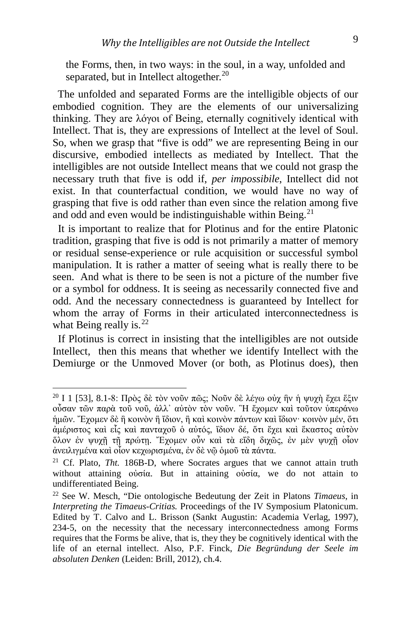the Forms, then, in two ways: in the soul, in a way, unfolded and separated, but in Intellect altogether.<sup>[20](#page-9-0)</sup>

 The unfolded and separated Forms are the intelligible objects of our embodied cognition. They are the elements of our universalizing thinking. They are λόγοι of Being, eternally cognitively identical with Intellect. That is, they are expressions of Intellect at the level of Soul. So, when we grasp that "five is odd" we are representing Being in our discursive, embodied intellects as mediated by Intellect. That the intelligibles are not outside Intellect means that we could not grasp the necessary truth that five is odd if, *per impossibile*, Intellect did not exist. In that counterfactual condition, we would have no way of grasping that five is odd rather than even since the relation among five and odd and even would be indistinguishable within Being.<sup>[21](#page-9-1)</sup>

 It is important to realize that for Plotinus and for the entire Platonic tradition, grasping that five is odd is not primarily a matter of memory or residual sense-experience or rule acquisition or successful symbol manipulation. It is rather a matter of seeing what is really there to be seen. And what is there to be seen is not a picture of the number five or a symbol for oddness. It is seeing as necessarily connected five and odd. And the necessary connectedness is guaranteed by Intellect for whom the array of Forms in their articulated interconnectedness is what Being really is.  $22$ 

 If Plotinus is correct in insisting that the intelligibles are not outside Intellect, then this means that whether we identify Intellect with the Demiurge or the Unmoved Mover (or both, as Plotinus does), then

<span id="page-9-0"></span><sup>&</sup>lt;sup>20</sup> Ι 1 [53], 8.1-8: Πρὸς δὲ τὸν νοῦν πῶς; Νοῦν δὲ λέγω οὐχ ἣν ἡ ψυχὴ ἔχει ἕξιν οὖσαν τῶν παρὰ τοῦ νοῦ, ἀλλ᾽ αὐτὸν τὸν νοῦν. ῍Η ἔχομεν καὶ τοῦτον ὑπεράνω ἡμῶν. Ἔχομεν δὲ ἢ κοινὸν ἢ ἴδιον, ἢ καὶ κοινὸν πάντων καὶ ἴδιον· κοινὸν μέν, ὅτι ἀμέριστος καὶ εἷς καὶ πανταχοῦ ὁ αὐτός, ἴδιον δέ, ὅτι ἔχει καὶ ἕκαστος αὐτὸν ὅλον ἐν ψυχῇ τῇ πρώτῃ. Ἔχομεν οὖν καὶ τὰ εἴδη διχῶς, ἐν μὲν ψυχῇ οἷον ἀνειλιγμένα καὶ οἷον κεχωρισμένα, ἐν δὲ νῷ ὁμοῦ τὰ πάντα.

<span id="page-9-1"></span><sup>&</sup>lt;sup>21</sup> Cf. Plato, *Tht.* 186B-D, where Socrates argues that we cannot attain truth without attaining οὐσία. But in attaining οὐσία, we do not attain to undifferentiated Being.

<span id="page-9-2"></span><sup>22</sup> See W. Mesch, "Die ontologische Bedeutung der Zeit in Platons *Timaeus*, in *Interpreting the Timaeus-Critias.* Proceedings of the IV Symposium Platonicum. Edited by T. Calvo and L. Brisson (Sankt Augustin: Academia Verlag, 1997), 234-5, on the necessity that the necessary interconnectedness among Forms requires that the Forms be alive, that is, they they be cognitively identical with the life of an eternal intellect. Also, P.F. Finck, *Die Begründung der Seele im absoluten Denken* (Leiden: Brill, 2012), ch.4.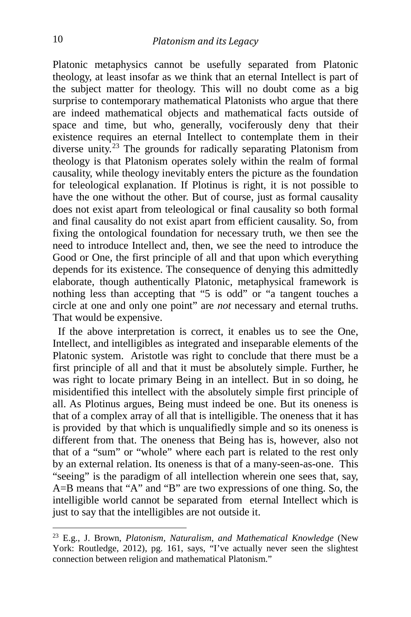Platonic metaphysics cannot be usefully separated from Platonic theology, at least insofar as we think that an eternal Intellect is part of the subject matter for theology. This will no doubt come as a big surprise to contemporary mathematical Platonists who argue that there are indeed mathematical objects and mathematical facts outside of space and time, but who, generally, vociferously deny that their existence requires an eternal Intellect to contemplate them in their diverse unity.<sup>[23](#page-10-0)</sup> The grounds for radically separating Platonism from theology is that Platonism operates solely within the realm of formal causality, while theology inevitably enters the picture as the foundation for teleological explanation. If Plotinus is right, it is not possible to have the one without the other. But of course, just as formal causality does not exist apart from teleological or final causality so both formal and final causality do not exist apart from efficient causality. So, from fixing the ontological foundation for necessary truth, we then see the need to introduce Intellect and, then, we see the need to introduce the Good or One, the first principle of all and that upon which everything depends for its existence. The consequence of denying this admittedly elaborate, though authentically Platonic, metaphysical framework is nothing less than accepting that "5 is odd" or "a tangent touches a circle at one and only one point" are *not* necessary and eternal truths. That would be expensive.

 If the above interpretation is correct, it enables us to see the One, Intellect, and intelligibles as integrated and inseparable elements of the Platonic system. Aristotle was right to conclude that there must be a first principle of all and that it must be absolutely simple. Further, he was right to locate primary Being in an intellect. But in so doing, he misidentified this intellect with the absolutely simple first principle of all. As Plotinus argues, Being must indeed be one. But its oneness is that of a complex array of all that is intelligible. The oneness that it has is provided by that which is unqualifiedly simple and so its oneness is different from that. The oneness that Being has is, however, also not that of a "sum" or "whole" where each part is related to the rest only by an external relation. Its oneness is that of a many-seen-as-one. This "seeing" is the paradigm of all intellection wherein one sees that, say, A=B means that "A" and "B" are two expressions of one thing. So, the intelligible world cannot be separated from eternal Intellect which is just to say that the intelligibles are not outside it.

<span id="page-10-0"></span><sup>23</sup> E.g., J. Brown, *Platonism, Naturalism, and Mathematical Knowledge* (New York: Routledge, 2012), pg. 161, says, "I've actually never seen the slightest connection between religion and mathematical Platonism."